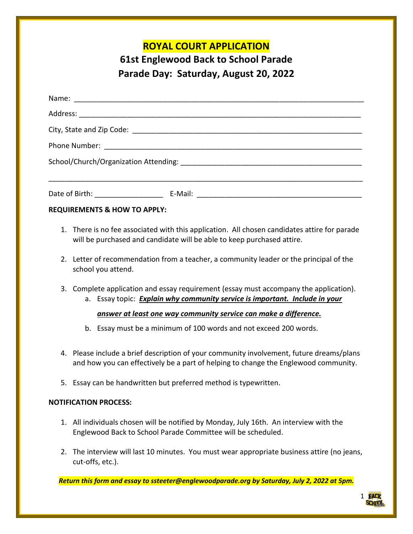## **ROYAL COURT APPLICATION**

# **61st Englewood Back to School Parade Parade Day: Saturday, August 20, 2022**

| Date of Birth: Note that the state of Birth: |  |
|----------------------------------------------|--|

#### **REQUIREMENTS & HOW TO APPLY:**

- 1. There is no fee associated with this application. All chosen candidates attire for parade will be purchased and candidate will be able to keep purchased attire.
- 2. Letter of recommendation from a teacher, a community leader or the principal of the school you attend.
- 3. Complete application and essay requirement (essay must accompany the application).
	- a. Essay topic: *Explain why community service is important. Include in your*

#### *answer at least one way community service can make a difference.*

- b. Essay must be a minimum of 100 words and not exceed 200 words.
- 4. Please include a brief description of your community involvement, future dreams/plans and how you can effectively be a part of helping to change the Englewood community.
- 5. Essay can be handwritten but preferred method is typewritten.

#### **NOTIFICATION PROCESS:**

- 1. All individuals chosen will be notified by Monday, July 16th. An interview with the Englewood Back to School Parade Committee will be scheduled.
- 2. The interview will last 10 minutes. You must wear appropriate business attire (no jeans, cut-offs, etc.).

*Return this form and essay to ssteeter[@englewoodparade.org](mailto:englewoodparade@gmail.com) by Saturday, July 2, 2022 at 5pm.*